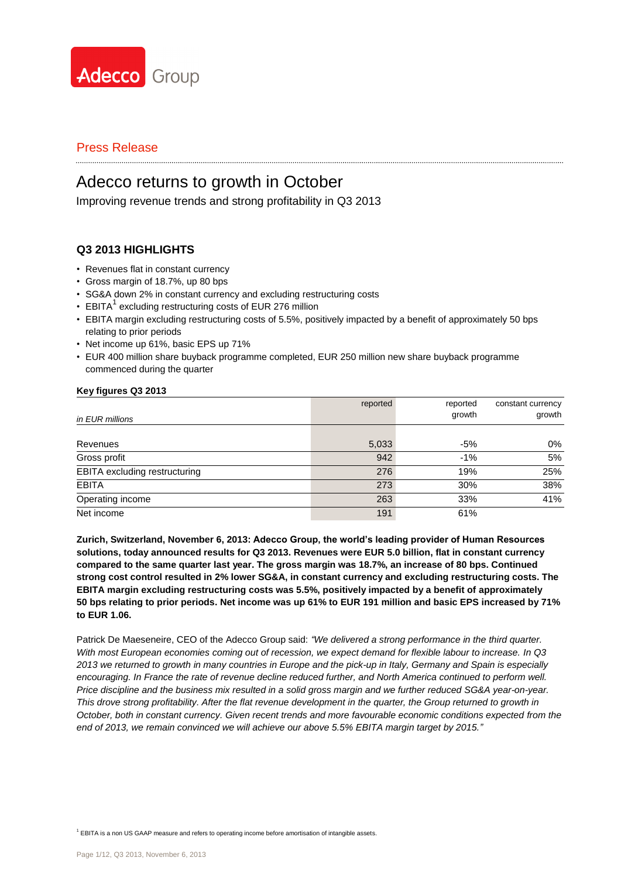

# Adecco returns to growth in October

Improving revenue trends and strong profitability in Q3 2013

### **Q3 2013 HIGHLIGHTS**

- Revenues flat in constant currency
- Gross margin of 18.7%, up 80 bps
- SG&A down 2% in constant currency and excluding restructuring costs
- EBITA<sup>1</sup> excluding restructuring costs of EUR 276 million
- EBITA margin excluding restructuring costs of 5.5%, positively impacted by a benefit of approximately 50 bps relating to prior periods
- Net income up 61%, basic EPS up 71%
- EUR 400 million share buyback programme completed, EUR 250 million new share buyback programme commenced during the quarter

#### **Key figures Q3 2013**

|                                      | reported | reported | constant currency |
|--------------------------------------|----------|----------|-------------------|
| in EUR millions                      |          | growth   | growth            |
|                                      |          |          |                   |
| Revenues                             | 5,033    | $-5%$    | 0%                |
| Gross profit                         | 942      | $-1%$    | 5%                |
| <b>EBITA</b> excluding restructuring | 276      | 19%      | 25%               |
| <b>EBITA</b>                         | 273      | 30%      | 38%               |
| Operating income                     | 263      | 33%      | 41%               |
| Net income                           | 191      | 61%      |                   |

**Zurich, Switzerland, November 6, 2013: Adecco Group, the world's leading provider of Human Resources solutions, today announced results for Q3 2013. Revenues were EUR 5.0 billion, flat in constant currency compared to the same quarter last year. The gross margin was 18.7%, an increase of 80 bps. Continued strong cost control resulted in 2% lower SG&A, in constant currency and excluding restructuring costs. The EBITA margin excluding restructuring costs was 5.5%, positively impacted by a benefit of approximately 50 bps relating to prior periods. Net income was up 61% to EUR 191 million and basic EPS increased by 71% to EUR 1.06.**

Patrick De Maeseneire, CEO of the Adecco Group said: *"We delivered a strong performance in the third quarter. With most European economies coming out of recession, we expect demand for flexible labour to increase. In Q3 2013 we returned to growth in many countries in Europe and the pick-up in Italy, Germany and Spain is especially encouraging. In France the rate of revenue decline reduced further, and North America continued to perform well. Price discipline and the business mix resulted in a solid gross margin and we further reduced SG&A year-on-year. This drove strong profitability. After the flat revenue development in the quarter, the Group returned to growth in October, both in constant currency. Given recent trends and more favourable economic conditions expected from the end of 2013, we remain convinced we will achieve our above 5.5% EBITA margin target by 2015."*

<sup>1</sup> EBITA is a non US GAAP measure and refers to operating income before amortisation of intangible assets.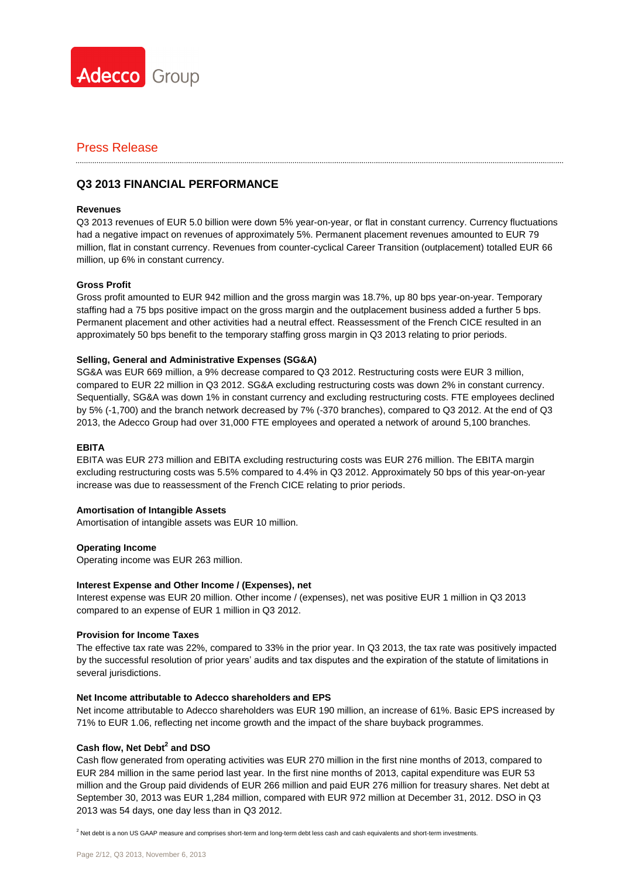

### **Q3 2013 FINANCIAL PERFORMANCE**

#### **Revenues**

Q3 2013 revenues of EUR 5.0 billion were down 5% year-on-year, or flat in constant currency. Currency fluctuations had a negative impact on revenues of approximately 5%. Permanent placement revenues amounted to EUR 79 million, flat in constant currency. Revenues from counter-cyclical Career Transition (outplacement) totalled EUR 66 million, up 6% in constant currency.

#### **Gross Profit**

Gross profit amounted to EUR 942 million and the gross margin was 18.7%, up 80 bps year-on-year. Temporary staffing had a 75 bps positive impact on the gross margin and the outplacement business added a further 5 bps. Permanent placement and other activities had a neutral effect. Reassessment of the French CICE resulted in an approximately 50 bps benefit to the temporary staffing gross margin in Q3 2013 relating to prior periods.

#### **Selling, General and Administrative Expenses (SG&A)**

SG&A was EUR 669 million, a 9% decrease compared to Q3 2012. Restructuring costs were EUR 3 million, compared to EUR 22 million in Q3 2012. SG&A excluding restructuring costs was down 2% in constant currency. Sequentially, SG&A was down 1% in constant currency and excluding restructuring costs. FTE employees declined by 5% (-1,700) and the branch network decreased by 7% (-370 branches), compared to Q3 2012. At the end of Q3 2013, the Adecco Group had over 31,000 FTE employees and operated a network of around 5,100 branches.

#### **EBITA**

EBITA was EUR 273 million and EBITA excluding restructuring costs was EUR 276 million. The EBITA margin excluding restructuring costs was 5.5% compared to 4.4% in Q3 2012. Approximately 50 bps of this year-on-year increase was due to reassessment of the French CICE relating to prior periods.

#### **Amortisation of Intangible Assets**

Amortisation of intangible assets was EUR 10 million.

#### **Operating Income**

Operating income was EUR 263 million.

#### **Interest Expense and Other Income / (Expenses), net**

Interest expense was EUR 20 million. Other income / (expenses), net was positive EUR 1 million in Q3 2013 compared to an expense of EUR 1 million in Q3 2012.

#### **Provision for Income Taxes**

The effective tax rate was 22%, compared to 33% in the prior year. In Q3 2013, the tax rate was positively impacted by the successful resolution of prior years' audits and tax disputes and the expiration of the statute of limitations in several jurisdictions.

#### **Net Income attributable to Adecco shareholders and EPS**

Net income attributable to Adecco shareholders was EUR 190 million, an increase of 61%. Basic EPS increased by 71% to EUR 1.06, reflecting net income growth and the impact of the share buyback programmes.

### **Cash flow, Net Debt<sup>2</sup> and DSO**

Cash flow generated from operating activities was EUR 270 million in the first nine months of 2013, compared to EUR 284 million in the same period last year. In the first nine months of 2013, capital expenditure was EUR 53 million and the Group paid dividends of EUR 266 million and paid EUR 276 million for treasury shares. Net debt at September 30, 2013 was EUR 1,284 million, compared with EUR 972 million at December 31, 2012. DSO in Q3 2013 was 54 days, one day less than in Q3 2012.

<sup>2</sup> Net debt is a non US GAAP measure and comprises short-term and long-term debt less cash and cash equivalents and short-term investments.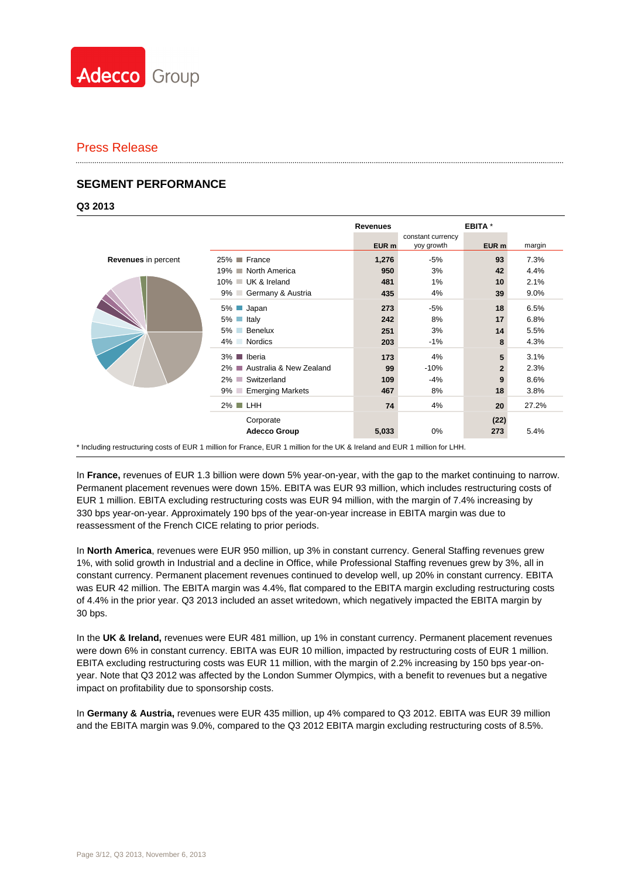

### **SEGMENT PERFORMANCE**

#### **Q3 2013**

|                            |                              | <b>Revenues</b>  |                   | <b>EBITA</b> <sup>*</sup> |        |
|----------------------------|------------------------------|------------------|-------------------|---------------------------|--------|
|                            |                              |                  | constant currency |                           |        |
|                            |                              | EUR <sub>m</sub> | yoy growth        | EUR m                     | margin |
| <b>Revenues</b> in percent | 25% France                   | 1,276            | $-5%$             | 93                        | 7.3%   |
|                            | 19% ■ North America          | 950              | 3%                | 42                        | 4.4%   |
|                            | 10% UK & Ireland             | 481              | 1%                | 10                        | 2.1%   |
|                            | 9% Germany & Austria         | 435              | 4%                | 39                        | 9.0%   |
|                            | Japan<br>5% ■                | 273              | -5%               | 18                        | 6.5%   |
|                            | $5\%$ Italy                  | 242              | 8%                | 17                        | 6.8%   |
|                            | 5% Benelux                   | 251              | 3%                | 14                        | 5.5%   |
|                            | 4% Nordics                   | 203              | $-1%$             | 8                         | 4.3%   |
|                            | 3% ■ Iberia                  | 173              | 4%                | 5                         | 3.1%   |
|                            | 2% ■ Australia & New Zealand | 99               | $-10%$            | $\overline{2}$            | 2.3%   |
|                            | 2% Switzerland               | 109              | $-4%$             | 9                         | 8.6%   |
|                            | 9% Emerging Markets          | 467              | 8%                | 18                        | 3.8%   |
|                            | $2\%$ LHH                    | 74               | 4%                | 20                        | 27.2%  |
|                            | Corporate                    |                  |                   | (22)                      |        |
|                            | <b>Adecco Group</b>          | 5,033            | $0\%$             | 273                       | 5.4%   |

\* Including restructuring costs of EUR 1 million for France, EUR 1 million for the UK & Ireland and EUR 1 million for LHH.

In **France,** revenues of EUR 1.3 billion were down 5% year-on-year, with the gap to the market continuing to narrow. Permanent placement revenues were down 15%. EBITA was EUR 93 million, which includes restructuring costs of EUR 1 million. EBITA excluding restructuring costs was EUR 94 million, with the margin of 7.4% increasing by 330 bps year-on-year. Approximately 190 bps of the year-on-year increase in EBITA margin was due to reassessment of the French CICE relating to prior periods.

In **North America**, revenues were EUR 950 million, up 3% in constant currency. General Staffing revenues grew 1%, with solid growth in Industrial and a decline in Office, while Professional Staffing revenues grew by 3%, all in constant currency. Permanent placement revenues continued to develop well, up 20% in constant currency. EBITA was EUR 42 million. The EBITA margin was 4.4%, flat compared to the EBITA margin excluding restructuring costs of 4.4% in the prior year. Q3 2013 included an asset writedown, which negatively impacted the EBITA margin by 30 bps.

In the **UK & Ireland,** revenues were EUR 481 million, up 1% in constant currency. Permanent placement revenues were down 6% in constant currency. EBITA was EUR 10 million, impacted by restructuring costs of EUR 1 million. EBITA excluding restructuring costs was EUR 11 million, with the margin of 2.2% increasing by 150 bps year-onyear. Note that Q3 2012 was affected by the London Summer Olympics, with a benefit to revenues but a negative impact on profitability due to sponsorship costs.

In **Germany & Austria,** revenues were EUR 435 million, up 4% compared to Q3 2012. EBITA was EUR 39 million and the EBITA margin was 9.0%, compared to the Q3 2012 EBITA margin excluding restructuring costs of 8.5%.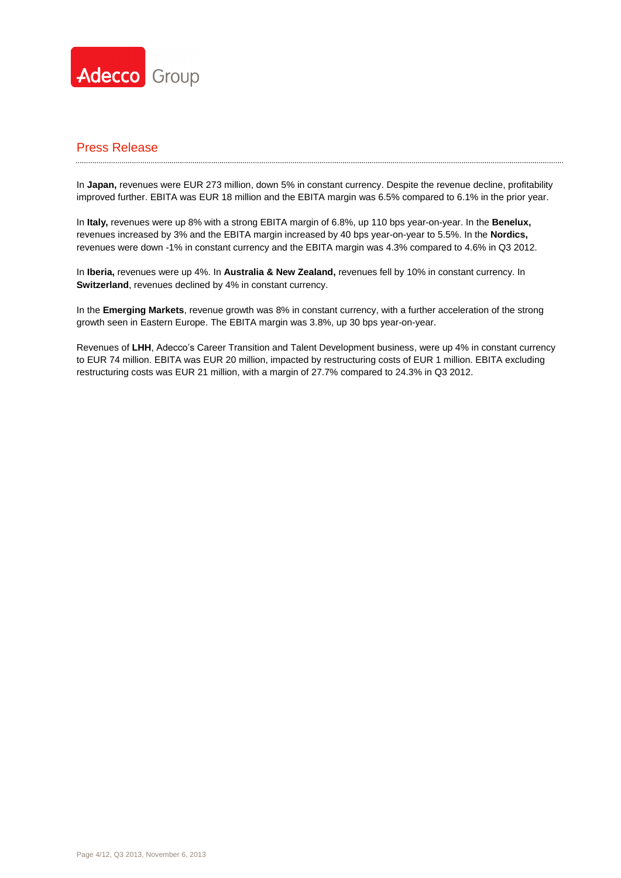

In **Japan,** revenues were EUR 273 million, down 5% in constant currency. Despite the revenue decline, profitability improved further. EBITA was EUR 18 million and the EBITA margin was 6.5% compared to 6.1% in the prior year.

In **Italy,** revenues were up 8% with a strong EBITA margin of 6.8%, up 110 bps year-on-year. In the **Benelux,** revenues increased by 3% and the EBITA margin increased by 40 bps year-on-year to 5.5%. In the **Nordics,** revenues were down -1% in constant currency and the EBITA margin was 4.3% compared to 4.6% in Q3 2012.

In **Iberia,** revenues were up 4%. In **Australia & New Zealand,** revenues fell by 10% in constant currency. In **Switzerland**, revenues declined by 4% in constant currency.

In the **Emerging Markets**, revenue growth was 8% in constant currency, with a further acceleration of the strong growth seen in Eastern Europe. The EBITA margin was 3.8%, up 30 bps year-on-year.

Revenues of **LHH**, Adecco's Career Transition and Talent Development business, were up 4% in constant currency to EUR 74 million. EBITA was EUR 20 million, impacted by restructuring costs of EUR 1 million. EBITA excluding restructuring costs was EUR 21 million, with a margin of 27.7% compared to 24.3% in Q3 2012.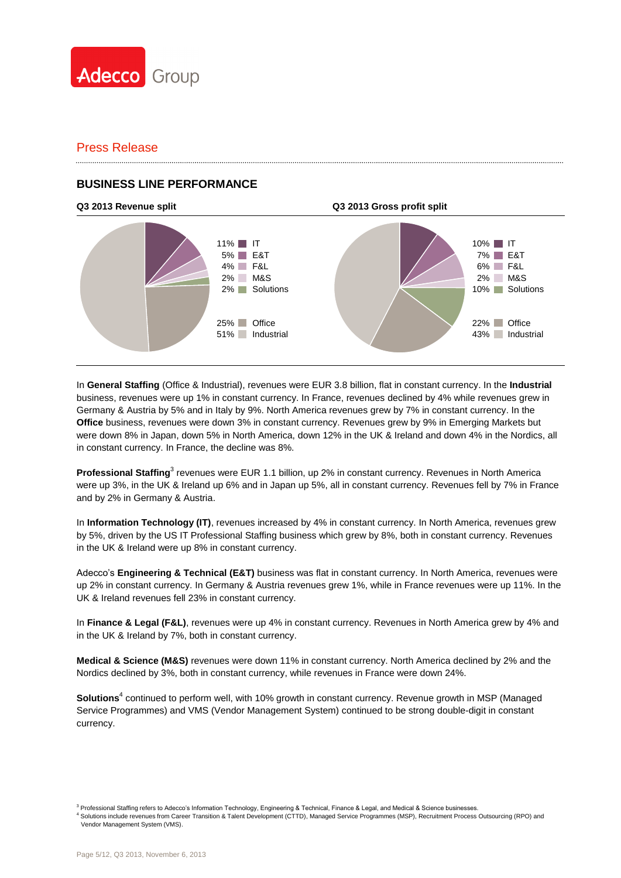

### **BUSINESS LINE PERFORMANCE**

# **Q3 2013 Revenue split Q3 2013 Gross profit split**



In **General Staffing** (Office & Industrial), revenues were EUR 3.8 billion, flat in constant currency. In the **Industrial** business, revenues were up 1% in constant currency. In France, revenues declined by 4% while revenues grew in Germany & Austria by 5% and in Italy by 9%. North America revenues grew by 7% in constant currency. In the **Office** business, revenues were down 3% in constant currency. Revenues grew by 9% in Emerging Markets but were down 8% in Japan, down 5% in North America, down 12% in the UK & Ireland and down 4% in the Nordics, all in constant currency. In France, the decline was 8%.

Professional Staffing<sup>3</sup> revenues were EUR 1.1 billion, up 2% in constant currency. Revenues in North America were up 3%, in the UK & Ireland up 6% and in Japan up 5%, all in constant currency. Revenues fell by 7% in France and by 2% in Germany & Austria.

In **Information Technology (IT)**, revenues increased by 4% in constant currency. In North America, revenues grew by 5%, driven by the US IT Professional Staffing business which grew by 8%, both in constant currency. Revenues in the UK & Ireland were up 8% in constant currency.

Adecco's **Engineering & Technical (E&T)** business was flat in constant currency. In North America, revenues were up 2% in constant currency. In Germany & Austria revenues grew 1%, while in France revenues were up 11%. In the UK & Ireland revenues fell 23% in constant currency.

In **Finance & Legal (F&L)**, revenues were up 4% in constant currency. Revenues in North America grew by 4% and in the UK & Ireland by 7%, both in constant currency.

**Medical & Science (M&S)** revenues were down 11% in constant currency. North America declined by 2% and the Nordics declined by 3%, both in constant currency, while revenues in France were down 24%.

Solutions<sup>4</sup> continued to perform well, with 10% growth in constant currency. Revenue growth in MSP (Managed Service Programmes) and VMS (Vendor Management System) continued to be strong double-digit in constant currency.

<sup>3</sup> Professional Staffing refers to Adecco's Information Technology, Engineering & Technical, Finance & Legal, and Medical & Science businesses.

<sup>4</sup> Solutions include revenues from Career Transition & Talent Development (CTTD), Managed Service Programmes (MSP), Recruitment Process Outsourcing (RPO) and Vendor Management System (VMS).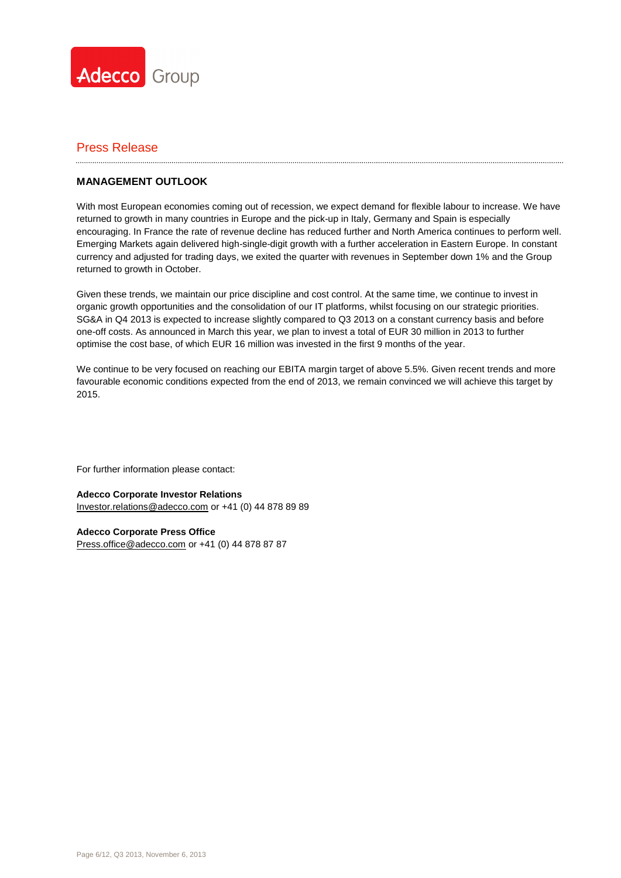

### **MANAGEMENT OUTLOOK**

With most European economies coming out of recession, we expect demand for flexible labour to increase. We have returned to growth in many countries in Europe and the pick-up in Italy, Germany and Spain is especially encouraging. In France the rate of revenue decline has reduced further and North America continues to perform well. Emerging Markets again delivered high-single-digit growth with a further acceleration in Eastern Europe. In constant currency and adjusted for trading days, we exited the quarter with revenues in September down 1% and the Group returned to growth in October.

Given these trends, we maintain our price discipline and cost control. At the same time, we continue to invest in organic growth opportunities and the consolidation of our IT platforms, whilst focusing on our strategic priorities. SG&A in Q4 2013 is expected to increase slightly compared to Q3 2013 on a constant currency basis and before one-off costs. As announced in March this year, we plan to invest a total of EUR 30 million in 2013 to further optimise the cost base, of which EUR 16 million was invested in the first 9 months of the year.

We continue to be very focused on reaching our EBITA margin target of above 5.5%. Given recent trends and more favourable economic conditions expected from the end of 2013, we remain convinced we will achieve this target by 2015.

For further information please contact:

**Adecco Corporate Investor Relations** [Investor.relations@adecco.com](mailto:Investor.relations@adecco.com) or +41 (0) 44 878 89 89

**Adecco Corporate Press Office** [Press.office@adecco.com](mailto:Press.office@adecco.com) or +41 (0) 44 878 87 87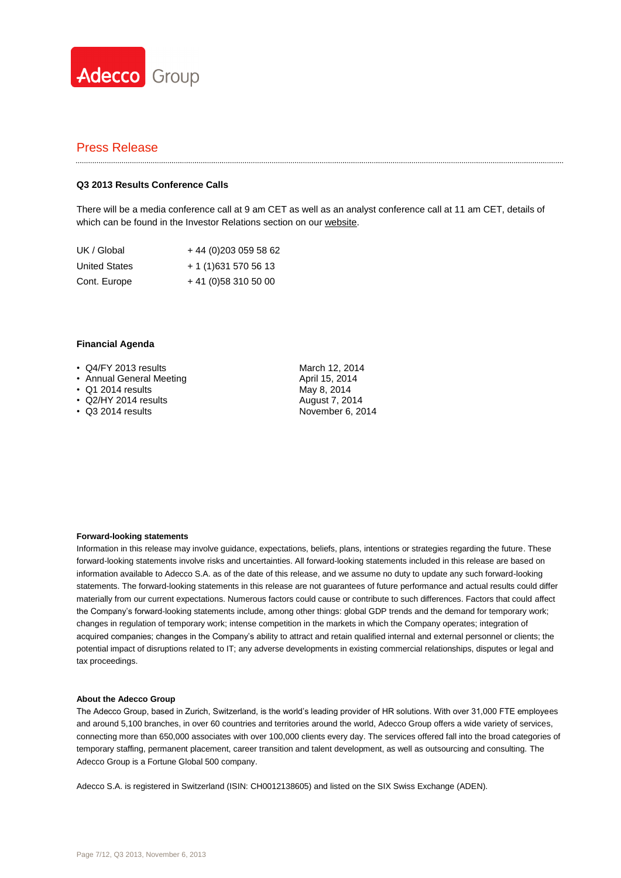

#### **Q3 2013 Results Conference Calls**

There will be a media conference call at 9 am CET as well as an analyst conference call at 11 am CET, details of which can be found in the Investor Relations section on ou[r website.](http://www.adecco.com/en-US/investors/Pages/Financials.aspx)

| UK / Global          | + 44 (0) 203 059 58 62 |
|----------------------|------------------------|
| <b>United States</b> | + 1 (1) 631 570 56 13  |
| Cont. Europe         | $+41(0)583105000$      |

#### **Financial Agenda**

- Q4/FY 2013 results
- Annual General Meeting
- Q1 2014 results
- Q2/HY 2014 results
- Q3 2014 results

March 12, 2014 April 15, 2014 May 8, 2014 August 7, 2014 November 6, 2014

#### **Forward-looking statements**

Information in this release may involve guidance, expectations, beliefs, plans, intentions or strategies regarding the future. These forward-looking statements involve risks and uncertainties. All forward-looking statements included in this release are based on information available to Adecco S.A. as of the date of this release, and we assume no duty to update any such forward-looking statements. The forward-looking statements in this release are not guarantees of future performance and actual results could differ materially from our current expectations. Numerous factors could cause or contribute to such differences. Factors that could affect the Company's forward-looking statements include, among other things: global GDP trends and the demand for temporary work; changes in regulation of temporary work; intense competition in the markets in which the Company operates; integration of acquired companies; changes in the Company's ability to attract and retain qualified internal and external personnel or clients; the potential impact of disruptions related to IT; any adverse developments in existing commercial relationships, disputes or legal and tax proceedings.

#### **About the Adecco Group**

The Adecco Group, based in Zurich, Switzerland, is the world's leading provider of HR solutions. With over 31,000 FTE employees and around 5,100 branches, in over 60 countries and territories around the world, Adecco Group offers a wide variety of services, connecting more than 650,000 associates with over 100,000 clients every day. The services offered fall into the broad categories of temporary staffing, permanent placement, career transition and talent development, as well as outsourcing and consulting. The Adecco Group is a Fortune Global 500 company.

Adecco S.A. is registered in Switzerland (ISIN: CH0012138605) and listed on the SIX Swiss Exchange (ADEN).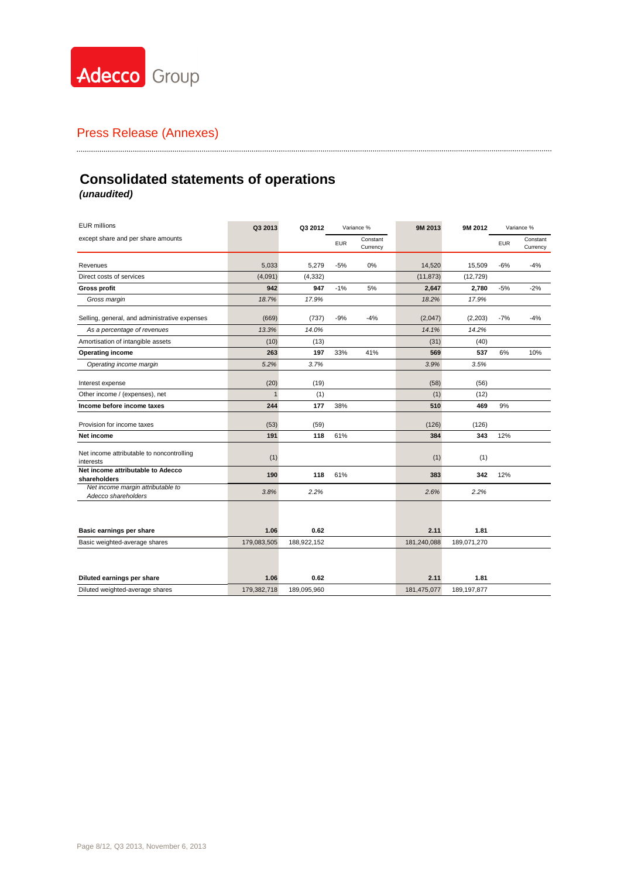

# **Consolidated statements of operations**

*(unaudited)*

| <b>EUR millions</b>                                      | Q3 2013      | Q3 2012     | Variance % |                      |             |               | 9M 2013    | 9M 2012              |  | Variance % |
|----------------------------------------------------------|--------------|-------------|------------|----------------------|-------------|---------------|------------|----------------------|--|------------|
| except share and per share amounts                       |              |             | <b>EUR</b> | Constant<br>Currency |             |               | <b>EUR</b> | Constant<br>Currency |  |            |
| Revenues                                                 | 5,033        | 5,279       | $-5%$      | 0%                   | 14,520      | 15,509        | $-6%$      | $-4%$                |  |            |
| Direct costs of services                                 | (4,091)      | (4, 332)    |            |                      | (11, 873)   | (12, 729)     |            |                      |  |            |
| Gross profit                                             | 942          | 947         | $-1%$      | 5%                   | 2,647       | 2,780         | $-5%$      | $-2%$                |  |            |
| Gross margin                                             | 18.7%        | 17.9%       |            |                      | 18.2%       | 17.9%         |            |                      |  |            |
| Selling, general, and administrative expenses            | (669)        | (737)       | $-9%$      | $-4%$                | (2,047)     | (2,203)       | $-7%$      | $-4%$                |  |            |
| As a percentage of revenues                              | 13.3%        | 14.0%       |            |                      | 14.1%       | 14.2%         |            |                      |  |            |
| Amortisation of intangible assets                        | (10)         | (13)        |            |                      | (31)        | (40)          |            |                      |  |            |
| <b>Operating income</b>                                  | 263          | 197         | 33%        | 41%                  | 569         | 537           | 6%         | 10%                  |  |            |
| Operating income margin                                  | 5.2%         | 3.7%        |            |                      | 3.9%        | 3.5%          |            |                      |  |            |
| Interest expense                                         | (20)         | (19)        |            |                      | (58)        | (56)          |            |                      |  |            |
| Other income / (expenses), net                           | $\mathbf{1}$ | (1)         |            |                      | (1)         | (12)          |            |                      |  |            |
| Income before income taxes                               | 244          | 177         | 38%        |                      | 510         | 469           | 9%         |                      |  |            |
| Provision for income taxes                               | (53)         | (59)        |            |                      | (126)       | (126)         |            |                      |  |            |
| Net income                                               | 191          | 118         | 61%        |                      | 384         | 343           | 12%        |                      |  |            |
| Net income attributable to noncontrolling<br>interests   | (1)          |             |            |                      | (1)         | (1)           |            |                      |  |            |
| Net income attributable to Adecco<br>shareholders        | 190          | 118         | 61%        |                      | 383         | 342           | 12%        |                      |  |            |
| Net income margin attributable to<br>Adecco shareholders | 3.8%         | 2.2%        |            |                      | 2.6%        | 2.2%          |            |                      |  |            |
|                                                          |              |             |            |                      |             |               |            |                      |  |            |
| Basic earnings per share                                 | 1.06         | 0.62        |            |                      | 2.11        | 1.81          |            |                      |  |            |
| Basic weighted-average shares                            | 179,083,505  | 188,922,152 |            |                      | 181,240,088 | 189,071,270   |            |                      |  |            |
|                                                          |              |             |            |                      |             |               |            |                      |  |            |
| Diluted earnings per share                               | 1.06         | 0.62        |            |                      | 2.11        | 1.81          |            |                      |  |            |
| Diluted weighted-average shares                          | 179,382,718  | 189,095,960 |            |                      | 181,475,077 | 189, 197, 877 |            |                      |  |            |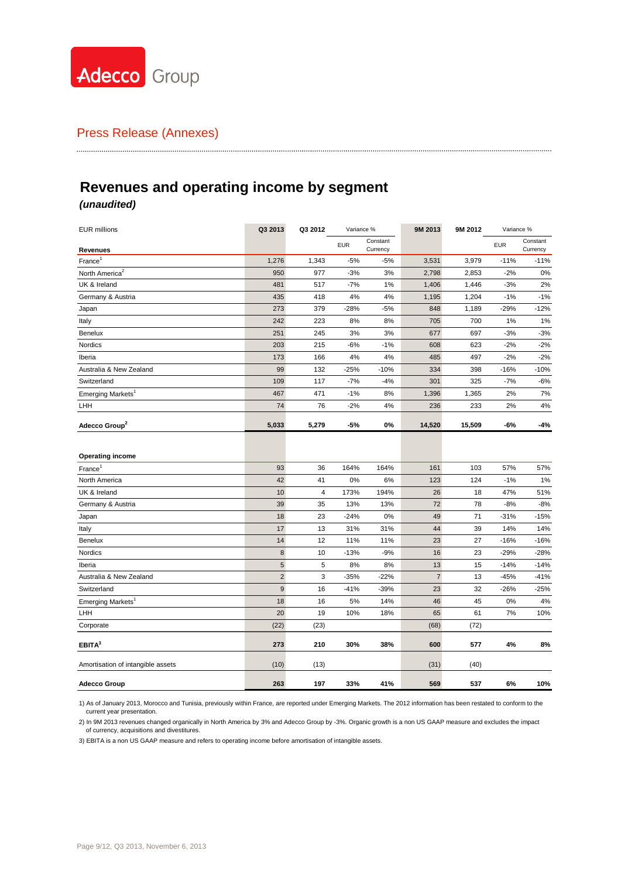

# **Revenues and operating income by segment**

### *(unaudited)*

| <b>EUR millions</b>               | Q3 2013          | Q3 2012 | Variance % |                      | 9M 2013    | 9M 2012 | Variance % |                      |
|-----------------------------------|------------------|---------|------------|----------------------|------------|---------|------------|----------------------|
| <b>Revenues</b>                   |                  |         | <b>EUR</b> | Constant<br>Currency |            |         | <b>EUR</b> | Constant<br>Currency |
| $France^1$                        | 1,276            | 1,343   | $-5%$      | $-5%$                | 3,531      | 3,979   | $-11%$     | $-11%$               |
| North America <sup>2</sup>        | 950              | 977     | $-3%$      | 3%                   | 2,798      | 2,853   | $-2%$      | 0%                   |
| UK & Ireland                      | 481              | 517     | $-7%$      | 1%                   | 1,406      | 1,446   | $-3%$      | 2%                   |
| Germany & Austria                 | 435              | 418     | 4%         | 4%                   | 1,195      | 1,204   | $-1%$      | $-1%$                |
| Japan                             | 273              | 379     | $-28%$     | $-5%$                | 848        | 1,189   | $-29%$     | $-12%$               |
| Italy                             | 242              | 223     | 8%         | 8%                   | 705        | 700     | 1%         | 1%                   |
| Benelux                           | 251              | 245     | 3%         | 3%                   | 677        | 697     | $-3%$      | $-3%$                |
| Nordics                           | 203              | 215     | $-6%$      | $-1%$                | 608        | 623     | $-2%$      | $-2%$                |
| Iberia                            | 173              | 166     | 4%         | 4%                   | 485        | 497     | $-2%$      | $-2%$                |
| Australia & New Zealand           | 99               | 132     | $-25%$     | $-10%$               | 334        | 398     | $-16%$     | $-10%$               |
| Switzerland                       | 109              | 117     | $-7%$      | $-4%$                | 301        | 325     | $-7%$      | $-6%$                |
| Emerging Markets <sup>1</sup>     | 467              | 471     | $-1%$      | 8%                   | 1,396      | 1,365   | 2%         | 7%                   |
| LHH                               | 74               | 76      | $-2%$      | 4%                   | 236        | 233     | 2%         | 4%                   |
| Adecco Group <sup>2</sup>         | 5,033            | 5,279   | -5%        | 0%                   | 14,520     | 15,509  | -6%        | -4%                  |
|                                   |                  |         |            |                      |            |         |            |                      |
| <b>Operating income</b>           |                  |         |            |                      |            |         |            |                      |
| $France^1$                        | 93               | 36      | 164%       | 164%                 | 161        | 103     | 57%        | 57%                  |
| North America                     | 42               | 41      | 0%         | 6%                   | 123        | 124     | $-1%$      | 1%                   |
| UK & Ireland                      | 10               | 4       | 173%       | 194%                 | 26         | 18      | 47%        | 51%                  |
| Germany & Austria                 | 39               | 35      | 13%        | 13%                  | 72         | 78      | $-8%$      | $-8%$                |
| Japan                             | 18               | 23      | $-24%$     | 0%                   | 49         | 71      | $-31%$     | $-15%$               |
| Italy                             | 17               | 13      | 31%        | 31%                  | 44         | 39      | 14%        | 14%                  |
| <b>Benelux</b>                    | 14               | 12      | 11%        | 11%                  | 23         | 27      | $-16%$     | $-16%$               |
| Nordics                           | $\bf 8$          | 10      | $-13%$     | $-9%$                | 16         | 23      | $-29%$     | $-28%$               |
| Iberia                            | $5\phantom{.0}$  | 5       | 8%         | 8%                   | 13         | 15      | $-14%$     | $-14%$               |
| Australia & New Zealand           | $\sqrt{2}$       | 3       | $-35%$     | $-22%$               | $\sqrt{7}$ | 13      | $-45%$     | $-41%$               |
| Switzerland                       | $\boldsymbol{9}$ | 16      | $-41%$     | -39%                 | 23         | 32      | $-26%$     | -25%                 |
| Emerging Markets <sup>1</sup>     | 18               | 16      | 5%         | 14%                  | 46         | 45      | 0%         | 4%                   |
| LHH                               | 20               | 19      | 10%        | 18%                  | 65         | 61      | 7%         | 10%                  |
| Corporate                         | (22)             | (23)    |            |                      | (68)       | (72)    |            |                      |
| EBITA <sup>3</sup>                | 273              | 210     | 30%        | 38%                  | 600        | 577     | 4%         | 8%                   |
| Amortisation of intangible assets | (10)             | (13)    |            |                      | (31)       | (40)    |            |                      |
| <b>Adecco Group</b>               | 263              | 197     | 33%        | 41%                  | 569        | 537     | 6%         | 10%                  |

1) As of January 2013, Morocco and Tunisia, previously within France, are reported under Emerging Markets. The 2012 information has been restated to conform to the current year presentation.

2) In 9M 2013 revenues changed organically in North America by 3% and Adecco Group by -3%. Organic growth is a non US GAAP measure and excludes the impact of currency, acquisitions and divestitures.

3) EBITA is a non US GAAP measure and refers to operating income before amortisation of intangible assets.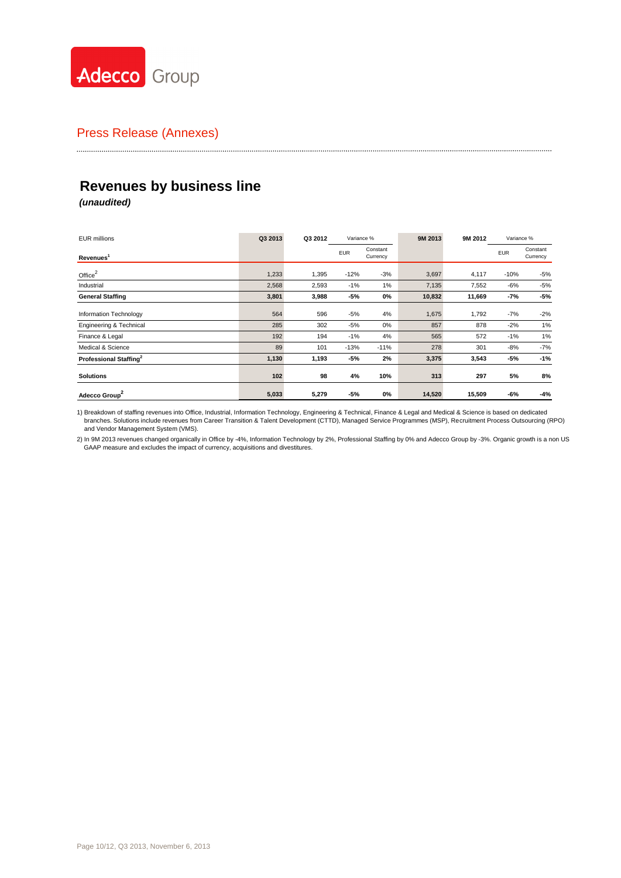

# **Revenues by business line**

*(unaudited)*

| <b>EUR millions</b>                | Q3 2013 | Q3 2012 | Variance % |                      |        |        | 9M 2013    | 9M 2012              | Variance % |  |
|------------------------------------|---------|---------|------------|----------------------|--------|--------|------------|----------------------|------------|--|
| Revenues <sup>1</sup>              |         |         | <b>EUR</b> | Constant<br>Currency |        |        | <b>EUR</b> | Constant<br>Currency |            |  |
| Office $2$                         | 1,233   | 1,395   | $-12%$     | $-3%$                | 3,697  | 4,117  | $-10%$     | $-5%$                |            |  |
| Industrial                         | 2,568   | 2,593   | $-1%$      | 1%                   | 7,135  | 7,552  | -6%        | $-5%$                |            |  |
| <b>General Staffing</b>            | 3,801   | 3,988   | -5%        | 0%                   | 10,832 | 11,669 | -7%        | $-5%$                |            |  |
| Information Technology             | 564     | 596     | $-5%$      | 4%                   | 1,675  | 1,792  | -7%        | $-2%$                |            |  |
| Engineering & Technical            | 285     | 302     | $-5%$      | 0%                   | 857    | 878    | $-2%$      | 1%                   |            |  |
| Finance & Legal                    | 192     | 194     | $-1%$      | 4%                   | 565    | 572    | $-1%$      | 1%                   |            |  |
| Medical & Science                  | 89      | 101     | $-13%$     | $-11%$               | 278    | 301    | $-8%$      | $-7%$                |            |  |
| Professional Staffing <sup>2</sup> | 1,130   | 1,193   | -5%        | 2%                   | 3,375  | 3,543  | -5%        | $-1%$                |            |  |
| <b>Solutions</b>                   | 102     | 98      | 4%         | 10%                  | 313    | 297    | 5%         | 8%                   |            |  |
| Adecco Group <sup>2</sup>          | 5,033   | 5,279   | -5%        | 0%                   | 14,520 | 15,509 | -6%        | $-4%$                |            |  |

1) Breakdown of staffing revenues into Office, Industrial, Information Technology, Engineering & Technical, Finance & Legal and Medical & Science is based on dedicated branches. Solutions include revenues from Career Transition & Talent Development (CTTD), Managed Service Programmes (MSP), Recruitment Process Outsourcing (RPO) and Vendor Management System (VMS).

2) In 9M 2013 revenues changed organically in Office by -4%, Information Technology by 2%, Professional Staffing by 0% and Adecco Group by -3%. Organic growth is a non US GAAP measure and excludes the impact of currency, acquisitions and divestitures.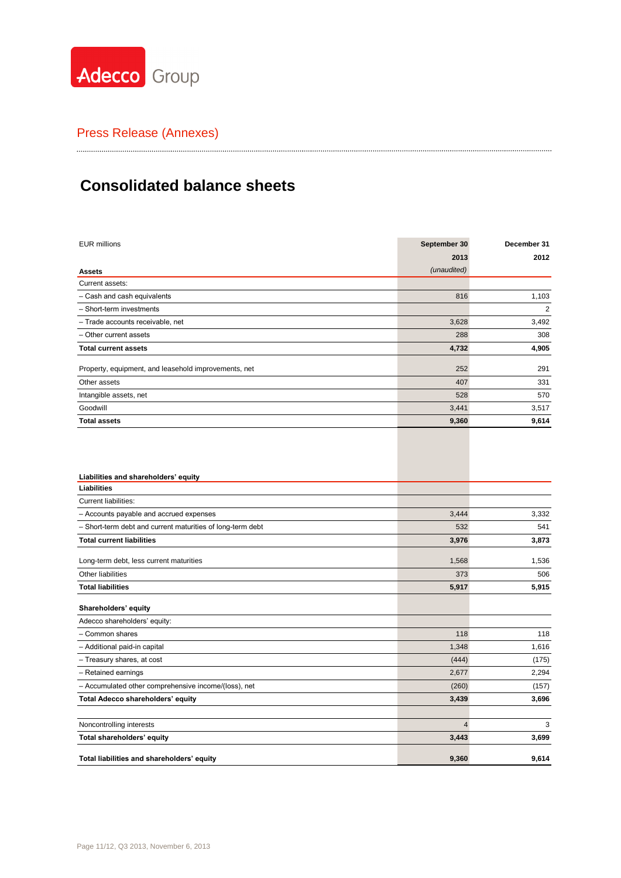

# **Consolidated balance sheets**

| <b>EUR millions</b>                                        | September 30 | December 31    |
|------------------------------------------------------------|--------------|----------------|
|                                                            | 2013         | 2012           |
| <b>Assets</b>                                              | (unaudited)  |                |
| Current assets:                                            |              |                |
| - Cash and cash equivalents                                | 816          | 1,103          |
| - Short-term investments                                   |              | $\overline{2}$ |
| - Trade accounts receivable, net                           | 3,628        | 3,492          |
| - Other current assets                                     | 288          | 308            |
| <b>Total current assets</b>                                | 4,732        | 4,905          |
| Property, equipment, and leasehold improvements, net       | 252          | 291            |
| Other assets                                               | 407          | 331            |
| Intangible assets, net                                     | 528          | 570            |
| Goodwill                                                   | 3,441        | 3,517          |
| <b>Total assets</b>                                        | 9,360        | 9,614          |
| Liabilities and shareholders' equity                       |              |                |
| Liabilities                                                |              |                |
| Current liabilities:                                       |              |                |
| - Accounts payable and accrued expenses                    | 3,444        | 3,332          |
| - Short-term debt and current maturities of long-term debt | 532          | 541            |
| <b>Total current liabilities</b>                           | 3,976        | 3,873          |
| Long-term debt, less current maturities                    | 1,568        | 1,536          |
| Other liabilities                                          | 373          | 506            |
| <b>Total liabilities</b>                                   | 5,917        | 5,915          |
| Shareholders' equity                                       |              |                |
| Adecco shareholders' equity:                               |              |                |
| - Common shares                                            | 118          | 118            |
| - Additional paid-in capital                               | 1,348        | 1,616          |
| - Treasury shares, at cost                                 | (444)        | (175)          |
| - Retained earnings                                        | 2,677        | 2,294          |
| - Accumulated other comprehensive income/(loss), net       | (260)        | (157)          |
| Total Adecco shareholders' equity                          | 3,439        | 3,696          |
| Noncontrolling interests                                   | 4            | 3              |
| Total shareholders' equity                                 | 3,443        | 3,699          |
| Total liabilities and shareholders' equity                 | 9,360        | 9.614          |